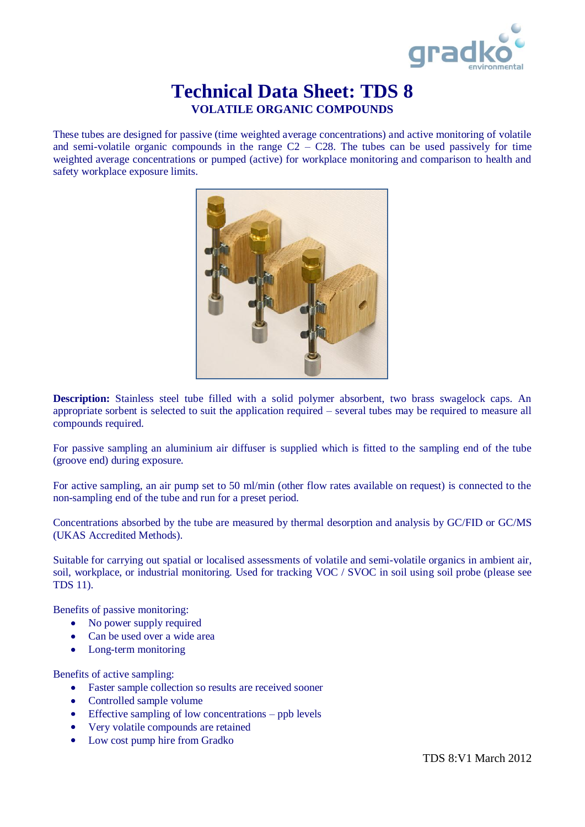

## **Technical Data Sheet: TDS 8 VOLATILE ORGANIC COMPOUNDS**

These tubes are designed for passive (time weighted average concentrations) and active monitoring of volatile and semi-volatile organic compounds in the range  $C2 - C28$ . The tubes can be used passively for time weighted average concentrations or pumped (active) for workplace monitoring and comparison to health and safety workplace exposure limits.



**Description:** Stainless steel tube filled with a solid polymer absorbent, two brass swagelock caps. An appropriate sorbent is selected to suit the application required – several tubes may be required to measure all compounds required.

For passive sampling an aluminium air diffuser is supplied which is fitted to the sampling end of the tube (groove end) during exposure.

For active sampling, an air pump set to 50 ml/min (other flow rates available on request) is connected to the non-sampling end of the tube and run for a preset period.

Concentrations absorbed by the tube are measured by thermal desorption and analysis by GC/FID or GC/MS (UKAS Accredited Methods).

Suitable for carrying out spatial or localised assessments of volatile and semi-volatile organics in ambient air, soil, workplace, or industrial monitoring. Used for tracking VOC / SVOC in soil using soil probe (please see TDS 11).

Benefits of passive monitoring:

- No power supply required
- Can be used over a wide area
- Long-term monitoring

Benefits of active sampling:

- Faster sample collection so results are received sooner
- Controlled sample volume
- Effective sampling of low concentrations ppb levels
- Very volatile compounds are retained
- Low cost pump hire from Gradko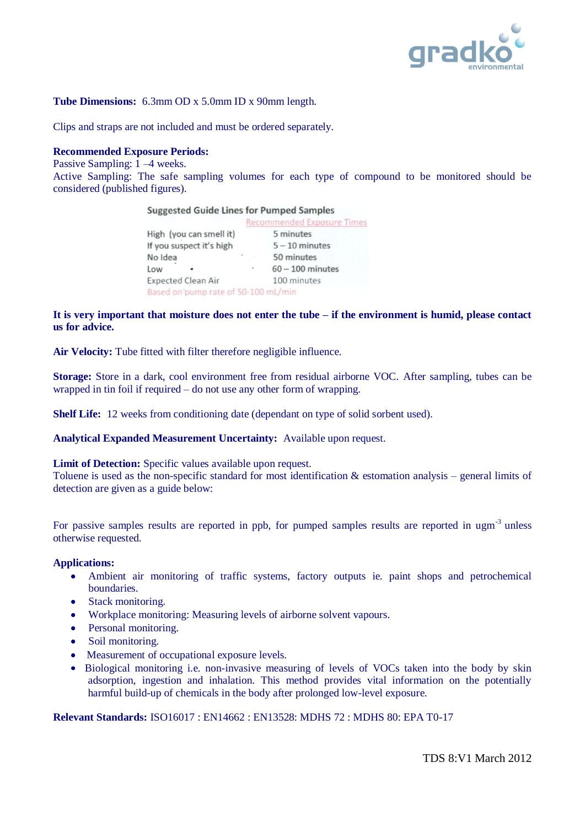

**Tube Dimensions:** 6.3mm OD x 5.0mm ID x 90mm length.

Clips and straps are not included and must be ordered separately.

## **Recommended Exposure Periods:**

Passive Sampling: 1 –4 weeks.

Active Sampling: The safe sampling volumes for each type of compound to be monitored should be considered (published figures).

**Suggested Guide Lines for Pumped Samples** 

|                                     |           | <b>Recommended Exposure Times</b> |
|-------------------------------------|-----------|-----------------------------------|
| High (you can smell it)             |           | 5 minutes                         |
| If you suspect it's high            |           | $5 - 10$ minutes                  |
| No Idea                             |           | 50 minutes                        |
| Low                                 | $\bullet$ | $60 - 100$ minutes                |
| <b>Expected Clean Air</b>           |           | 100 minutes                       |
| Based on pump rate of 50-100 mL/min |           |                                   |
|                                     |           |                                   |

## **It is very important that moisture does not enter the tube – if the environment is humid, please contact us for advice.**

**Air Velocity:** Tube fitted with filter therefore negligible influence.

**Storage:** Store in a dark, cool environment free from residual airborne VOC. After sampling, tubes can be wrapped in tin foil if required – do not use any other form of wrapping.

**Shelf Life:** 12 weeks from conditioning date (dependant on type of solid sorbent used).

**Analytical Expanded Measurement Uncertainty:** Available upon request.

**Limit of Detection:** Specific values available upon request.

Toluene is used as the non-specific standard for most identification & estomation analysis – general limits of detection are given as a guide below:

For passive samples results are reported in ppb, for pumped samples results are reported in ugm<sup>-3</sup> unless otherwise requested.

## **Applications:**

- Ambient air monitoring of traffic systems, factory outputs ie. paint shops and petrochemical **boundaries**
- Stack monitoring.
- Workplace monitoring: Measuring levels of airborne solvent vapours.
- Personal monitoring.
- Soil monitoring.
- Measurement of occupational exposure levels.
- Biological monitoring i.e. non-invasive measuring of levels of VOCs taken into the body by skin adsorption, ingestion and inhalation. This method provides vital information on the potentially harmful build-up of chemicals in the body after prolonged low-level exposure.

**Relevant Standards:** ISO16017 : EN14662 : EN13528: MDHS 72 : MDHS 80: EPA T0-17